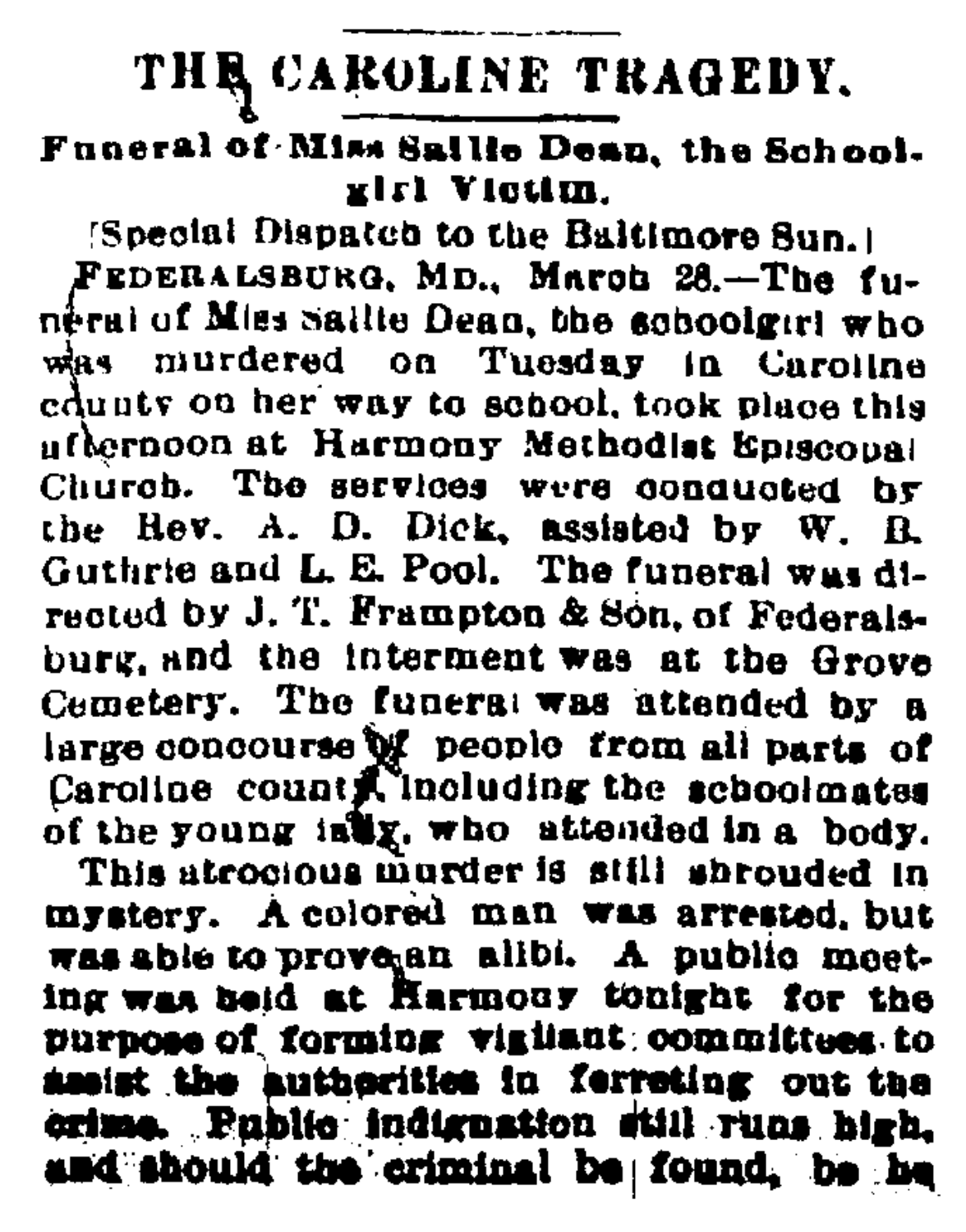## THE CAROLINE TRAGEDY.

Funeral of Miss Saille Dean, the School. girl Victim.

[Special Dispatch to the Baltimore Sun.]

FEDERALSBURG, MD., Marob 28.-The funeral of Miss Saille Dean, the schoolgirl who was murdered on Tuesday in Caroline edunty on her way to school, took place this ofternoon at Harmony Methodist Eniscopal Church. The services were conquoted by the Hev. A. D. Dick, assisted by W. R. Guthrie and L. E. Pool. The funeral was directed by J. T. Frampton & Son, of Federalsburg, and the interment was at the Grove Cemetery. The funeral was attended by a large concourse of people from all parts of Caroline count including the schoolmates of the young inty, who attended in a body.

This atrocious murder is still shrouded in mystery. A colored man was arrested, but was able to prove an alibi. A public mosting was beid at Rarmouy tonight for the purnose of forming vigilant committees to sesist the authorities in ferreting out the crime. Public indignation still runs high. and should the criminal be found, be he